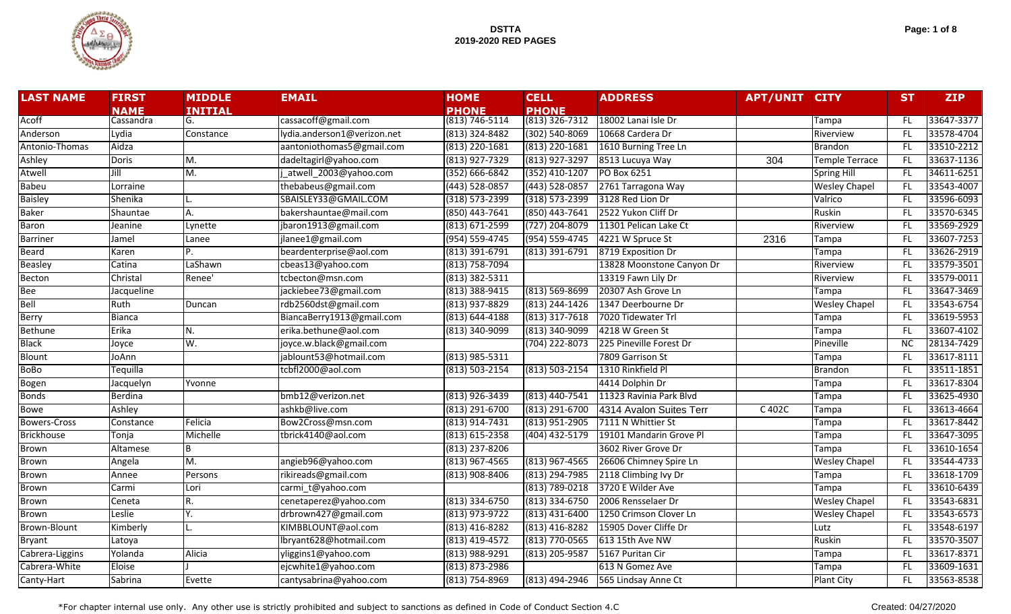

| Page: 1 of 8 |  |  |  |  |
|--------------|--|--|--|--|
|--------------|--|--|--|--|

| <b>LAST NAME</b>    | <b>FIRST</b>  | <b>MIDDLE</b>             | <b>EMAIL</b>                | <b>HOME</b>                                        | <b>CELL</b>        | <b>ADDRESS</b>            | <b>APT/UNIT</b> | <b>CITY</b>           | <b>ST</b> | <b>ZIP</b> |
|---------------------|---------------|---------------------------|-----------------------------|----------------------------------------------------|--------------------|---------------------------|-----------------|-----------------------|-----------|------------|
|                     | <b>NAME</b>   | <b>INITIAL</b>            |                             | <b>PHONE</b>                                       | <b>PHONE</b>       |                           |                 |                       |           |            |
| Acoff               | Cassandra     | G.                        | cassacoff@gmail.com         | $(8\overline{13})\overline{746} - 51\overline{14}$ | $(813)$ 326-7312   | 18002 Lanai Isle Dr       |                 | Tampa                 | FL        | 33647-3377 |
| Anderson            | Lydia         | Constance                 | lydia.anderson1@verizon.net | (813) 324-8482                                     | $(302) 540 - 8069$ | 10668 Cardera Dr          |                 | Riverview             | FL.       | 33578-4704 |
| Antonio-Thomas      | Aidza         |                           | aantoniothomas5@gmail.com   | (813) 220-1681                                     | $(813)$ 220-1681   | 1610 Burning Tree Ln      |                 | <b>Brandon</b>        | FL.       | 33510-2212 |
| Ashley              | <b>Doris</b>  | $\overline{\mathsf{M}}$ . | dadeltagirl@yahoo.com       | (813) 927-7329                                     | (813) 927-3297     | 8513 Lucuya Way           | 304             | <b>Temple Terrace</b> | FL.       | 33637-1136 |
| Atwell              | Jill          | $\overline{\mathsf{M}}$ . | atwell_2003@yahoo.com       | $(352) 666 - 6842$                                 | (352) 410-1207     | PO Box 6251               |                 | Spring Hill           | FL.       | 34611-6251 |
| <b>Babeu</b>        | Lorraine      |                           | thebabeus@gmail.com         | (443) 528-0857                                     | (443) 528-0857     | 2761 Tarragona Way        |                 | <b>Wesley Chapel</b>  | FL.       | 33543-4007 |
| <b>Baisley</b>      | Shenika       |                           | SBAISLEY33@GMAIL.COM        | $(318) 573 - 2399$                                 | (318) 573-2399     | 3128 Red Lion Dr          |                 | Valrico               | FL.       | 33596-6093 |
| <b>Baker</b>        | Shauntae      | А.                        | bakershauntae@mail.com      | (850) 443-7641                                     | (850) 443-7641     | 2522 Yukon Cliff Dr       |                 | <b>Ruskin</b>         | FL.       | 33570-6345 |
| Baron               | Jeanine       | Lynette                   | jbaron1913@gmail.com        | (813) 671-2599                                     | (727) 204-8079     | 11301 Pelican Lake Ct     |                 | Riverview             | FL.       | 33569-2929 |
| Barriner            | Jamel         | Lanee                     | jlanee1@gmail.com           | (954) 559-4745                                     | (954) 559-4745     | 4221 W Spruce St          | 2316            | Tampa                 | FL        | 33607-7253 |
| Beard               | Karen         | P.                        | beardenterprise@aol.com     | (813) 391-6791                                     | $(813)$ 391-6791   | 8719 Exposition Dr        |                 | Tampa                 | FL.       | 33626-2919 |
| Beasley             | Catina        | LaShawn                   | cbeas13@yahoo.com           | (813) 758-7094                                     |                    | 13828 Moonstone Canyon Dr |                 | Riverview             | FL        | 33579-3501 |
| Becton              | Christal      | Renee'                    | tcbecton@msn.com            | (813) 382-5311                                     |                    | 13319 Fawn Lily Dr        |                 | Riverview             | FL.       | 33579-0011 |
| <b>Bee</b>          | Jacqueline    |                           | jackiebee73@gmail.com       | (813) 388-9415                                     | $(813) 569 - 8699$ | 20307 Ash Grove Ln        |                 | Tampa                 | FL.       | 33647-3469 |
| Bell                | Ruth          | Duncan                    | rdb2560dst@gmail.com        | (813) 937-8829                                     | (813) 244-1426     | 1347 Deerbourne Dr        |                 | <b>Wesley Chapel</b>  | FL.       | 33543-6754 |
| Berry               | <b>Bianca</b> |                           | BiancaBerry1913@gmail.com   | (813) 644-4188                                     | $(813)$ 317-7618   | 7020 Tidewater Trl        |                 | Tampa                 | FL.       | 33619-5953 |
| Bethune             | Erika         | N.                        | erika.bethune@aol.com       | (813) 340-9099                                     | (813) 340-9099     | 4218 W Green St           |                 | Tampa                 | FL        | 33607-4102 |
| <b>Black</b>        | Joyce         | W.                        | joyce.w.black@gmail.com     |                                                    | $(704)$ 222-8073   | 225 Pineville Forest Dr   |                 | Pineville             | <b>NC</b> | 28134-7429 |
| Blount              | JoAnn         |                           | jablount53@hotmail.com      | (813) 985-5311                                     |                    | 7809 Garrison St          |                 | Tampa                 | FL.       | 33617-8111 |
| <b>BoBo</b>         | Tequilla      |                           | tcbfl2000@aol.com           | (813) 503-2154                                     | (813) 503-2154     | 1310 Rinkfield Pl         |                 | <b>Brandon</b>        | FL.       | 33511-1851 |
| Bogen               | Jacquelyn     | Yvonne                    |                             |                                                    |                    | 4414 Dolphin Dr           |                 | Tampa                 | FL.       | 33617-8304 |
| <b>Bonds</b>        | Berdina       |                           | bmb12@verizon.net           | (813) 926-3439                                     | (813) 440-7541     | 11323 Ravinia Park Blvd   |                 | Tampa                 | FL.       | 33625-4930 |
| <b>Bowe</b>         | Ashley        |                           | ashkb@live.com              | (813) 291-6700                                     | (813) 291-6700     | 4314 Avalon Suites Terr   | C 402C          | Tampa                 | FL        | 33613-4664 |
| <b>Bowers-Cross</b> | Constance     | Felicia                   | Bow2Cross@msn.com           | (813) 914-7431                                     | (813) 951-2905     | 7111 N Whittier St        |                 | Tampa                 | FL.       | 33617-8442 |
| <b>Brickhouse</b>   | Tonja         | Michelle                  | tbrick4140@aol.com          | (813) 615-2358                                     | (404) 432-5179     | 19101 Mandarin Grove Pl   |                 | Tampa                 | FL        | 33647-3095 |
| Brown               | Altamese      | В                         |                             | $(813)$ 237-8206                                   |                    | 3602 River Grove Dr       |                 | Tampa                 | FL.       | 33610-1654 |
| Brown               | Angela        | М.                        | angieb96@yahoo.com          | $(813)$ 967-4565                                   | $(813)$ 967-4565   | 26606 Chimney Spire Ln    |                 | <b>Wesley Chapel</b>  | FL.       | 33544-4733 |
| Brown               | Annee         | Persons                   | rikireads@gmail.com         | $(813)$ 908-8406                                   | $(813)$ 294-7985   | 2118 Climbing Ivy Dr      |                 | Tampa                 | FL.       | 33618-1709 |
| Brown               | Carmi         | Lori                      | carmi t@yahoo.com           |                                                    | $(813) 789 - 0218$ | 3720 E Wilder Ave         |                 | Tampa                 | FL.       | 33610-6439 |
| Brown               | Ceneta        | R.                        | cenetaperez@yahoo.com       | (813) 334-6750                                     | $(813)$ 334-6750   | 2006 Rensselaer Dr        |                 | <b>Wesley Chapel</b>  | FL.       | 33543-6831 |
| Brown               | Leslie        | Y.                        | drbrown427@gmail.com        | (813) 973-9722                                     | $(813)$ 431-6400   | 1250 Crimson Clover Ln    |                 | <b>Wesley Chapel</b>  | FL.       | 33543-6573 |
| <b>Brown-Blount</b> | Kimberly      |                           | KIMBBLOUNT@aol.com          | (813) 416-8282                                     | (813) 416-8282     | 15905 Dover Cliffe Dr     |                 | Lutz                  | FL.       | 33548-6197 |
| Bryant              | Latoya        |                           | lbryant628@hotmail.com      | (813) 419-4572                                     | (813) 770-0565     | 613 15th Ave NW           |                 | Ruskin                | FL        | 33570-3507 |
| Cabrera-Liggins     | Yolanda       | Alicia                    | yliggins1@yahoo.com         | (813) 988-9291                                     | (813) 205-9587     | 5167 Puritan Cir          |                 | Tampa                 | FL        | 33617-8371 |
| Cabrera-White       | Eloise        |                           | ejcwhite1@yahoo.com         | (813) 873-2986                                     |                    | 613 N Gomez Ave           |                 | Tampa                 | FL.       | 33609-1631 |
| Canty-Hart          | Sabrina       | Evette                    | cantysabrina@yahoo.com      | (813) 754-8969                                     | (813) 494-2946     | 565 Lindsay Anne Ct       |                 | <b>Plant City</b>     | FL        | 33563-8538 |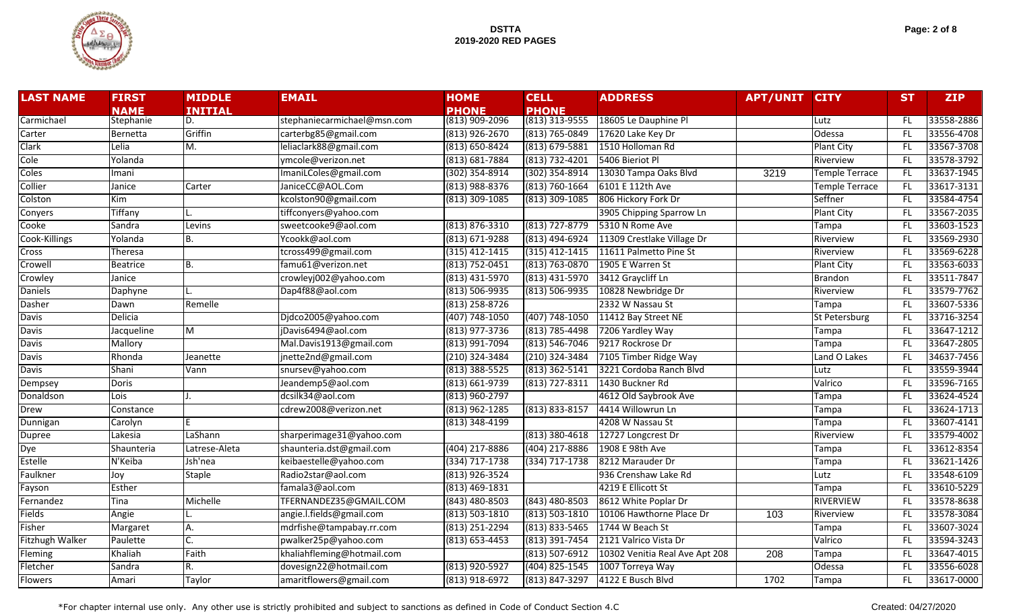

| Page: 2 of 8 |  |  |  |  |
|--------------|--|--|--|--|
|--------------|--|--|--|--|

| <b>LAST NAME</b>       | <b>FIRST</b>     | <b>MIDDLE</b>  | <b>EMAIL</b>                | <b>HOME</b>        | <b>CELL</b>        | <b>ADDRESS</b>                 | <b>APT/UNIT CITY</b> |                       | <b>ST</b> | <b>ZIP</b> |
|------------------------|------------------|----------------|-----------------------------|--------------------|--------------------|--------------------------------|----------------------|-----------------------|-----------|------------|
|                        | <b>NAME</b>      | <b>INITIAL</b> |                             | <b>PHONE</b>       | <b>PHONE</b>       |                                |                      |                       |           |            |
| Carmichael             | Stephanie        | D.             | stephaniecarmichael@msn.com | (813) 909-2096     | $(813)$ 313-9555   | 18605 Le Dauphine Pl           |                      | Lutz                  | FL        | 33558-2886 |
| Carter                 | Bernetta         | Griffin        | carterbg85@gmail.com        | $(813)$ 926-2670   | $(813) 765 - 0849$ | 17620 Lake Key Dr              |                      | Odessa                | FL.       | 33556-4708 |
| Clark                  | Lelia            | М.             | leliaclark88@gmail.com      | (813) 650-8424     | $(813) 679 - 5881$ | 1510 Holloman Rd               |                      | <b>Plant City</b>     | FL.       | 33567-3708 |
| Cole                   | Yolanda          |                | vmcole@verizon.net          | $(813) 681 - 7884$ | (813) 732-4201     | 5406 Bieriot Pl                |                      | Riverview             | FL.       | 33578-3792 |
| Coles                  | Imani            |                | ImaniLColes@gmail.com       | $(302)$ 354-8914   | (302) 354-8914     | 13030 Tampa Oaks Blvd          | 3219                 | Temple Terrace        | FL.       | 33637-1945 |
| Collier                | Janice           | Carter         | JaniceCC@AOL.Com            | (813) 988-8376     | (813) 760-1664     | 6101 E 112th Ave               |                      | <b>Temple Terrace</b> | FL.       | 33617-3131 |
| Colston                | $\overline{Kim}$ |                | kcolston90@gmail.com        | $(813)$ 309-1085   | $(813)$ 309-1085   | 806 Hickory Fork Dr            |                      | Seffner               | FL.       | 33584-4754 |
| Conyers                | Tiffany          |                | tiffconyers@yahoo.com       |                    |                    | 3905 Chipping Sparrow Ln       |                      | <b>Plant City</b>     | FL.       | 33567-2035 |
| Cooke                  | Sandra           | Levins         | sweetcooke9@aol.com         | $(813) 876 - 3310$ | (813) 727-8779     | 5310 N Rome Ave                |                      | Tampa                 | FL.       | 33603-1523 |
| Cook-Killings          | Yolanda          | Β.             | Ycookk@aol.com              | (813) 671-9288     | (813) 494-6924     | 11309 Crestlake Village Dr     |                      | Riverview             | FL.       | 33569-2930 |
| <b>Cross</b>           | Theresa          |                | tcross499@gmail.com         | $(315)$ 412-1415   | $(315)$ 412-1415   | 11611 Palmetto Pine St         |                      | Riverview             | FL.       | 33569-6228 |
| Crowell                | <b>Beatrice</b>  | Β.             | famu61@verizon.net          | (813) 752-0451     | $(813) 763 - 0870$ | 1905 E Warren St               |                      | <b>Plant City</b>     | FL.       | 33563-6033 |
| Crowley                | Janice           |                | crowleyj002@yahoo.com       | (813) 431-5970     | (813) 431-5970     | 3412 Graycliff Ln              |                      | Brandon               | FL.       | 33511-7847 |
| <b>Daniels</b>         | Daphyne          |                | Dap4f88@aol.com             | $(813) 506 - 9935$ | $(813) 506 - 9935$ | 10828 Newbridge Dr             |                      | Riverview             | FL.       | 33579-7762 |
| Dasher                 | Dawn             | Remelle        |                             | $(813)$ 258-8726   |                    | 2332 W Nassau St               |                      | Tampa                 | FL.       | 33607-5336 |
| <b>Davis</b>           | <b>Delicia</b>   |                | Djdco2005@yahoo.com         | (407) 748-1050     | (407) 748-1050     | 11412 Bay Street NE            |                      | St Petersburg         | FL.       | 33716-3254 |
| <b>Davis</b>           | Jacqueline       | M              | jDavis6494@aol.com          | (813) 977-3736     | (813) 785-4498     | 7206 Yardley Way               |                      | Tampa                 | FL        | 33647-1212 |
| <b>Davis</b>           | Mallory          |                | Mal.Davis1913@gmail.com     | (813) 991-7094     | $(813) 546 - 7046$ | 9217 Rockrose Dr               |                      | Tampa                 | FL.       | 33647-2805 |
| <b>Davis</b>           | Rhonda           | Jeanette       | jnette2nd@gmail.com         | (210) 324-3484     | $(210)$ 324-3484   | 7105 Timber Ridge Way          |                      | Land O Lakes          | FL.       | 34637-7456 |
| <b>Davis</b>           | Shani            | Vann           | snursev@yahoo.com           | $(813)$ 388-5525   | $(813)$ 362-5141   | 3221 Cordoba Ranch Blvd        |                      | Lutz                  | FL.       | 33559-3944 |
| Dempsey                | <b>Doris</b>     |                | Jeandemp5@aol.com           | (813) 661-9739     | $(813) 727 - 8311$ | 1430 Buckner Rd                |                      | Valrico               | FL.       | 33596-7165 |
| Donaldson              | Lois             |                | dcsilk34@aol.com            | (813) 960-2797     |                    | 4612 Old Saybrook Ave          |                      | Tampa                 | FL.       | 33624-4524 |
| Drew                   | Constance        |                | cdrew2008@verizon.net       | (813) 962-1285     | (813) 833-8157     | 4414 Willowrun Ln              |                      | Tampa                 | FL.       | 33624-1713 |
| Dunnigan               | Carolyn          |                |                             | (813) 348-4199     |                    | 4208 W Nassau St               |                      | Tampa                 | FL.       | 33607-4141 |
| Dupree                 | Lakesia          | LaShann        | sharperimage31@yahoo.com    |                    | $(813)$ 380-4618   | 12727 Longcrest Dr             |                      | Riverview             | FL.       | 33579-4002 |
| Dye                    | Shaunteria       | Latrese-Aleta  | shaunteria.dst@gmail.com    | (404) 217-8886     | (404) 217-8886     | 1908 E 98th Ave                |                      | Tampa                 | FL.       | 33612-8354 |
| <b>Estelle</b>         | N'Keiba          | Jsh'nea        | keibaestelle@yahoo.com      | (334) 717-1738     | (334) 717-1738     | 8212 Marauder Dr               |                      | Tampa                 | FL.       | 33621-1426 |
| Faulkner               | Joy              | Staple         | Radio2star@aol.com          | (813) 926-3524     |                    | 936 Crenshaw Lake Rd           |                      | Lutz                  | FL.       | 33548-6109 |
| Fayson                 | <b>Esther</b>    |                | famala3@aol.com             | $(813)$ 469-1831   |                    | 4219 E Ellicott St             |                      | Tampa                 | FL.       | 33610-5229 |
| Fernandez              | Tina             | Michelle       | TFERNANDEZ35@GMAIL.COM      | $(843)$ 480-8503   | (843) 480-8503     | 8612 White Poplar Dr           |                      | <b>RIVERVIEW</b>      | FL.       | 33578-8638 |
| <b>Fields</b>          | Angie            |                | angie.l.fields@gmail.com    | $(813) 503 - 1810$ | $(813) 503 - 1810$ | 10106 Hawthorne Place Dr       | 103                  | Riverview             | FL.       | 33578-3084 |
| Fisher                 | Margaret         | А.             | mdrfishe@tampabay.rr.com    | $(813)$ 251-2294   | $(813) 833 - 5465$ | 1744 W Beach St                |                      | Tampa                 | FL.       | 33607-3024 |
| <b>Fitzhugh Walker</b> | Paulette         |                | pwalker25p@yahoo.com        | $(813) 653 - 4453$ | $(813)$ 391-7454   | 2121 Valrico Vista Dr          |                      | Valrico               | FL.       | 33594-3243 |
| Fleming                | Khaliah          | Faith          | khaliahfleming@hotmail.com  |                    | $(813) 507 - 6912$ | 10302 Venitia Real Ave Apt 208 | 208                  | Tampa                 | FL.       | 33647-4015 |
| Fletcher               | Sandra           | R.             | dovesign22@hotmail.com      | (813) 920-5927     | $(404)$ 825-1545   | 1007 Torreya Way               |                      | Odessa                | FL.       | 33556-6028 |
| <b>Flowers</b>         | Amari            | Taylor         | amaritflowers@gmail.com     | (813) 918-6972     | (813) 847-3297     | 4122 E Busch Blvd              | 1702                 | Tampa                 | FL.       | 33617-0000 |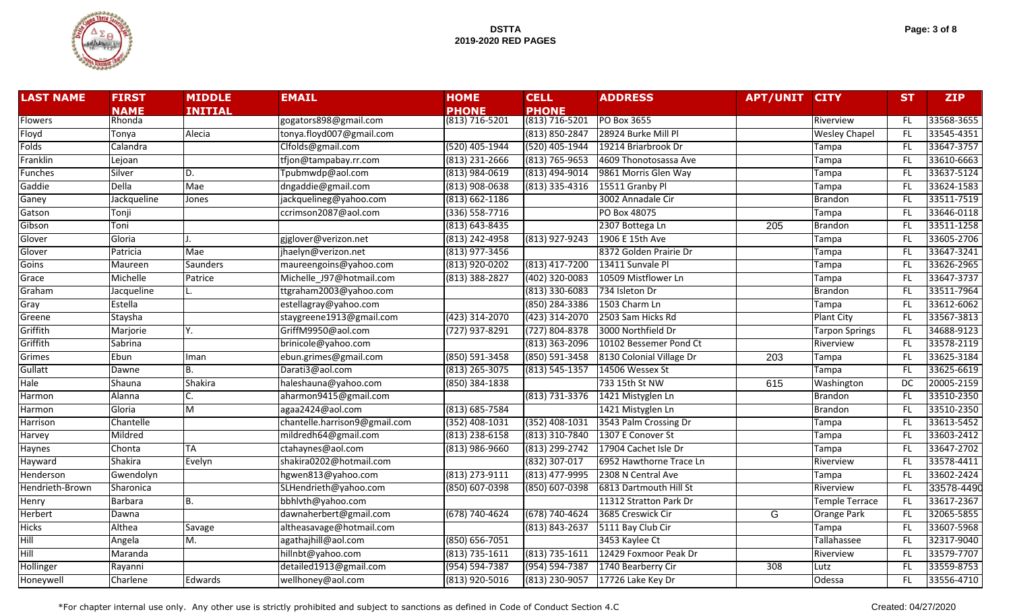

| Page: 3 of 8 |  |  |  |
|--------------|--|--|--|
|--------------|--|--|--|

| <b>LAST NAME</b> | <b>FIRST</b>   | <b>MIDDLE</b>   | <b>EMAIL</b>                  | <b>HOME</b>        | <b>CELL</b>        | <b>ADDRESS</b>           | <b>APT/UNIT</b>  | <b>CITY</b>           | <b>ST</b> | <b>ZIP</b> |
|------------------|----------------|-----------------|-------------------------------|--------------------|--------------------|--------------------------|------------------|-----------------------|-----------|------------|
|                  | <b>NAME</b>    | <b>INITIAL</b>  |                               | <b>PHONE</b>       | <b>PHONE</b>       |                          |                  |                       |           |            |
| Flowers          | Rhonda         |                 | gogators898@gmail.com         | $(813) 716 - 5201$ | (813) 716-5201     | PO Box 3655              |                  | Riverview             | FL.       | 33568-3655 |
| Floyd            | Tonya          | Alecia          | tonya.floyd007@gmail.com      |                    | (813) 850-2847     | 28924 Burke Mill Pl      |                  | <b>Wesley Chapel</b>  | FL.       | 33545-4351 |
| Folds            | Calandra       |                 | Clfolds@gmail.com             | (520) 405-1944     | (520) 405-1944     | 19214 Briarbrook Dr      |                  | Tampa                 | FL.       | 33647-3757 |
| Franklin         | Lejoan         |                 | tfjon@tampabay.rr.com         | (813) 231-2666     | (813) 765-9653     | 4609 Thonotosassa Ave    |                  | Tampa                 | FL        | 33610-6663 |
| Funches          | Silver         | D.              | Tpubmwdp@aol.com              | $(813)$ 984-0619   | (813) 494-9014     | 9861 Morris Glen Way     |                  | Tampa                 | FL.       | 33637-5124 |
| Gaddie           | <b>Della</b>   | Mae             | dngaddie@gmail.com            | $(813)$ 908-0638   | $(813)$ 335-4316   | 15511 Granby Pl          |                  | Tampa                 | FL.       | 33624-1583 |
| Ganey            | Jackqueline    | Jones           | jackquelineg@yahoo.com        | $(813) 662 - 1186$ |                    | 3002 Annadale Cir        |                  | <b>Brandon</b>        | FL.       | 33511-7519 |
| Gatson           | Tonji          |                 | ccrimson2087@aol.com          | $(336) 558 - 7716$ |                    | PO Box 48075             |                  | Tampa                 | FL.       | 33646-0118 |
| Gibson           | Toni           |                 |                               | $(813) 643 - 8435$ |                    | 2307 Bottega Ln          | $\overline{205}$ | <b>Brandon</b>        | FL.       | 33511-1258 |
| Glover           | Gloria         |                 | gjglover@verizon.net          | (813) 242-4958     | (813) 927-9243     | 1906 E 15th Ave          |                  | Tampa                 | FL.       | 33605-2706 |
| Glover           | Patricia       | Mae             | jhaelyn@verizon.net           | (813) 977-3456     |                    | 8372 Golden Prairie Dr   |                  | Tampa                 | FL        | 33647-3241 |
| Goins            | Maureen        | <b>Saunders</b> | maureengoins@yahoo.com        | (813) 920-0202     | (813) 417-7200     | 13411 Sunvale Pl         |                  | Tampa                 | FL.       | 33626-2965 |
| Grace            | Michelle       | Patrice         | Michelle J97@hotmail.com      | (813) 388-2827     | $(402)$ 320-0083   | 10509 Mistflower Ln      |                  | Tampa                 | FL        | 33647-3737 |
| Graham           | Jacqueline     |                 | ttgraham2003@yahoo.com        |                    | $(813)$ 330-6083   | 734 Isleton Dr           |                  | <b>Brandon</b>        | FL.       | 33511-7964 |
| Gray             | <b>Estella</b> |                 | estellagray@yahoo.com         |                    | (850) 284-3386     | 1503 Charm Ln            |                  | Tampa                 | FL.       | 33612-6062 |
| Greene           | Staysha        |                 | staygreene1913@gmail.com      | (423) 314-2070     | (423) 314-2070     | 2503 Sam Hicks Rd        |                  | <b>Plant City</b>     | FL        | 33567-3813 |
| Griffith         | Marjorie       | Y.              | GriffM9950@aol.com            | (727) 937-8291     | (727) 804-8378     | 3000 Northfield Dr       |                  | <b>Tarpon Springs</b> | FL.       | 34688-9123 |
| Griffith         | Sabrina        |                 | brinicole@yahoo.com           |                    | (813) 363-2096     | 10102 Bessemer Pond Ct   |                  | Riverview             | FL        | 33578-2119 |
| Grimes           | Ebun           | Iman            | ebun.grimes@gmail.com         | (850) 591-3458     | (850) 591-3458     | 8130 Colonial Village Dr | 203              | Tampa                 | <b>FL</b> | 33625-3184 |
| Gullatt          | Dawne          | В.              | Darati3@aol.com               | $(813)$ 265-3075   | $(813) 545 - 1357$ | 14506 Wessex St          |                  | Tampa                 | FL.       | 33625-6619 |
| Hale             | Shauna         | Shakira         | haleshauna@yahoo.com          | (850) 384-1838     |                    | 733 15th St NW           | 615              | Washington            | DC        | 20005-2159 |
| Harmon           | Alanna         |                 | aharmon9415@gmail.com         |                    | (813) 731-3376     | 1421 Mistyglen Ln        |                  | <b>Brandon</b>        | FL.       | 33510-2350 |
| Harmon           | Gloria         | M               | agaa2424@aol.com              | $(813) 685 - 7584$ |                    | 1421 Mistyglen Ln        |                  | <b>Brandon</b>        | FL.       | 33510-2350 |
| Harrison         | Chantelle      |                 | chantelle.harrison9@gmail.com | (352) 408-1031     | (352) 408-1031     | 3543 Palm Crossing Dr    |                  | Tampa                 | FL.       | 33613-5452 |
| Harvey           | Mildred        |                 | mildredh64@gmail.com          | $(813)$ 238-6158   | (813) 310-7840     | 1307 E Conover St        |                  | Tampa                 | FL.       | 33603-2412 |
| Haynes           | Chonta         | TA              | ctahaynes@aol.com             | $(813)$ 986-9660   | (813) 299-2742     | 17904 Cachet Isle Dr     |                  | Tampa                 | FL.       | 33647-2702 |
| Hayward          | Shakira        | Evelyn          | shakira0202@hotmail.com       |                    | (832) 307-017      | 6952 Hawthorne Trace Ln  |                  | Riverview             | FL        | 33578-4411 |
| Henderson        | Gwendolyn      |                 | hgwen813@yahoo.com            | (813) 273-9111     | (813) 477-9995     | 2308 N Central Ave       |                  | Tampa                 | FL.       | 33602-2424 |
| Hendrieth-Brown  | Sharonica      |                 | SLHendrieth@yahoo.com         | $(850) 607 - 0398$ | (850) 607-0398     | 6813 Dartmouth Hill St   |                  | Riverview             | FL        | 33578-4490 |
| Henry            | Barbara        | В.              | bbhlvth@yahoo.com             |                    |                    | 11312 Stratton Park Dr   |                  | <b>Temple Terrace</b> | FL.       | 33617-2367 |
| Herbert          | Dawna          |                 | dawnaherbert@gmail.com        | (678) 740-4624     | (678) 740-4624     | 3685 Creswick Cir        | $\overline{G}$   | Orange Park           | FL        | 32065-5855 |
| <b>Hicks</b>     | Althea         | Savage          | altheasavage@hotmail.com      |                    | (813) 843-2637     | 5111 Bay Club Cir        |                  | Tampa                 | FL.       | 33607-5968 |
| Hill             | Angela         | M.              | agathajhill@aol.com           | $(850) 656 - 7051$ |                    | 3453 Kaylee Ct           |                  | Tallahassee           | FL.       | 32317-9040 |
| Hill             | Maranda        |                 | hillnbt@yahoo.com             | $(813) 735 - 1611$ | (813) 735-1611     | 12429 Foxmoor Peak Dr    |                  | Riverview             | FL        | 33579-7707 |
| Hollinger        | Rayanni        |                 | detailed1913@gmail.com        | (954) 594-7387     | (954) 594-7387     | 1740 Bearberry Cir       | 308              | Lutz                  | FL.       | 33559-8753 |
| Honeywell        | Charlene       | Edwards         | wellhoney@aol.com             | (813) 920-5016     | (813) 230-9057     | 17726 Lake Key Dr        |                  | Odessa                | FL.       | 33556-4710 |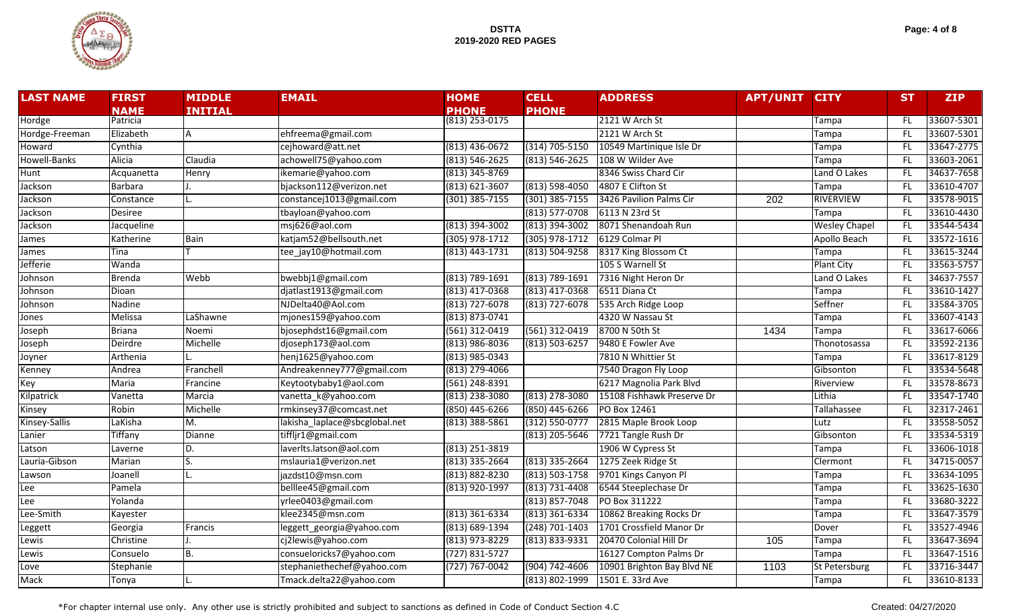

| Page: 4 of 8 |  |  |
|--------------|--|--|
|--------------|--|--|

| <b>LAST NAME</b> | <b>FIRST</b>   | <b>MIDDLE</b>   | <b>EMAIL</b>                  | <b>HOME</b>        | <b>CELL</b>        | <b>ADDRESS</b>             | <b>APT/UNIT</b>  | <b>CITY</b>          | <b>ST</b> | <b>ZIP</b> |
|------------------|----------------|-----------------|-------------------------------|--------------------|--------------------|----------------------------|------------------|----------------------|-----------|------------|
|                  | <b>NAME</b>    | <b>INITIAL</b>  |                               | <b>PHONE</b>       | <b>PHONE</b>       |                            |                  |                      |           |            |
| Hordge           | Patricia       |                 |                               | $(813)$ 253-0175   |                    | 2121 W Arch St             |                  | Tampa                | -FL       | 33607-5301 |
| Hordge-Freeman   | Elizabeth      | A               | ehfreema@gmail.com            |                    |                    | 2121 W Arch St             |                  | Tampa                | -FL       | 33607-5301 |
| Howard           | Cynthia        |                 | cejhoward@att.net             | $(813)$ 436-0672   | (314) 705-5150     | 10549 Martinique Isle Dr   |                  | Tampa                | -FL       | 33647-2775 |
| Howell-Banks     | Alicia         | Claudia         | achowell75@yahoo.com          | $(813) 546 - 2625$ | $(813) 546 - 2625$ | 108 W Wilder Ave           |                  | Tampa                | -FL       | 33603-2061 |
| Hunt             | Acquanetta     | Henry           | ikemarie@yahoo.com            | $(813)$ 345-8769   |                    | 8346 Swiss Chard Cir       |                  | Land O Lakes         | -FL       | 34637-7658 |
| Jackson          | Barbara        |                 | bjackson112@verizon.net       | $(813) 621 - 3607$ | $(813) 598 - 4050$ | 4807 E Clifton St          |                  | Tampa                | <b>FL</b> | 33610-4707 |
| Jackson          | Constance      |                 | constancej1013@gmail.com      | $(301)$ 385-7155   | $(301)$ 385-7155   | 3426 Pavilion Palms Cir    | $\overline{202}$ | <b>RIVERVIEW</b>     | <b>FL</b> | 33578-9015 |
| Jackson          | <b>Desiree</b> |                 | tbayloan@yahoo.com            |                    | $(813) 577 - 0708$ | 6113 N 23rd St             |                  | Tampa                | <b>FL</b> | 33610-4430 |
| Jackson          | Jacqueline     |                 | msj626@aol.com                | (813) 394-3002     | (813) 394-3002     | 8071 Shenandoah Run        |                  | <b>Wesley Chapel</b> | FL.       | 33544-5434 |
| James            | Katherine      | <b>Bain</b>     | katjam52@bellsouth.net        | $(305)$ 978-1712   | $(305)$ 978-1712   | 6129 Colmar Pl             |                  | Apollo Beach         | -FL       | 33572-1616 |
| James            | Tina           |                 | tee_jay10@hotmail.com         | $(813)$ 443-1731   | $(813) 504 - 9258$ | 8317 King Blossom Ct       |                  | Tampa                | -FL       | 33615-3244 |
| Jefferie         | Wanda          |                 |                               |                    |                    | 105 S Warnell St           |                  | <b>Plant City</b>    | -FL       | 33563-5757 |
| Johnson          | <b>Brenda</b>  | Webb            | bwebbj1@gmail.com             | (813) 789-1691     | $(813) 789 - 1691$ | 7316 Night Heron Dr        |                  | Land O Lakes         | -FL       | 34637-7557 |
| Johnson          | Dioan          |                 | djatlast1913@gmail.com        | (813) 417-0368     | $(813)$ 417-0368   | 6511 Diana Ct              |                  | Tampa                | <b>FL</b> | 33610-1427 |
| Johnson          | Nadine         |                 | NJDelta40@Aol.com             | $(813)$ 727-6078   | $(813)$ 727-6078   | 535 Arch Ridge Loop        |                  | Seffner              | <b>FL</b> | 33584-3705 |
| Jones            | Melissa        | LaShawne        | mjones159@yahoo.com           | $(813) 873 - 0741$ |                    | 4320 W Nassau St           |                  | Tampa                | <b>FL</b> | 33607-4143 |
| Joseph           | <b>Briana</b>  | Noemi           | bjosephdst16@gmail.com        | $(561)$ 312-0419   | (561) 312-0419     | 8700 N 50th St             | 1434             | Tampa                | <b>FL</b> | 33617-6066 |
| Joseph           | Deirdre        | <b>Michelle</b> | djoseph173@aol.com            | $(813)$ 986-8036   | $(813) 503 - 6257$ | 9480 E Fowler Ave          |                  | Thonotosassa         | -FL       | 33592-2136 |
| Joyner           | Arthenia       |                 | henj1625@yahoo.com            | $(813)$ 985-0343   |                    | 7810 N Whittier St         |                  | Tampa                | -FL       | 33617-8129 |
| Kenney           | Andrea         | Franchell       | Andreakenney777@gmail.com     | $(813)$ 279-4066   |                    | 7540 Dragon Fly Loop       |                  | Gibsonton            | <b>FL</b> | 33534-5648 |
| Key              | Maria          | Francine        | Keytootybaby1@aol.com         | $(561)$ 248-8391   |                    | 6217 Magnolia Park Blvd    |                  | Riverview            | <b>FL</b> | 33578-8673 |
| Kilpatrick       | Vanetta        | Marcia          | vanetta_k@yahoo.com           | (813) 238-3080     | $(813)$ 278-3080   | 15108 Fishhawk Preserve Dr |                  | Lithia               | <b>FL</b> | 33547-1740 |
| Kinsey           | Robin          | Michelle        | rmkinsey37@comcast.net        | $(850)$ 445-6266   | (850) 445-6266     | PO Box 12461               |                  | Tallahassee          | FL.       | 32317-2461 |
| Kinsey-Sallis    | LaKisha        | M.              | lakisha_laplace@sbcglobal.net | $(813)$ 388-5861   | $(312) 550 - 0777$ | 2815 Maple Brook Loop      |                  | Lutz                 | -FL       | 33558-5052 |
| Lanier           | <b>Tiffany</b> | Dianne          | tiffljr1@gmail.com            |                    | $(813)$ 205-5646   | 7721 Tangle Rush Dr        |                  | Gibsonton            | -FL       | 33534-5319 |
| Latson           | Laverne        | D.              | laverlts.latson@aol.com       | $(813)$ 251-3819   |                    | 1906 W Cypress St          |                  | Tampa                | -FL       | 33606-1018 |
| Lauria-Gibson    | Marian         |                 | mslauria1@verizon.net         | $(813)$ 335-2664   | $(813)$ 335-2664   | 1275 Zeek Ridge St         |                  | Clermont             | -FL       | 34715-0057 |
| Lawson           | Joanell        |                 | jazdst10@msn.com              | $(813) 882 - 8230$ | $(813) 503 - 1758$ | 9701 Kings Canyon Pl       |                  | Tampa                | <b>FL</b> | 33634-1095 |
| Lee              | Pamela         |                 | belllee45@gmail.com           | (813) 920-1997     | $(813) 731 - 4408$ | 6544 Steeplechase Dr       |                  | Tampa                | -FL       | 33625-1630 |
| Lee              | Yolanda        |                 | yrlee0403@gmail.com           |                    | $(813) 857 - 7048$ | PO Box 311222              |                  | Tampa                | <b>FL</b> | 33680-3222 |
| Lee-Smith        | Kayester       |                 | klee2345@msn.com              | $(813)$ 361-6334   | $(813)$ 361-6334   | 10862 Breaking Rocks Dr    |                  | Tampa                | -FL       | 33647-3579 |
| Leggett          | Georgia        | Francis         | leggett_georgia@yahoo.com     | $(813) 689 - 1394$ | (248) 701-1403     | 1701 Crossfield Manor Dr   |                  | Dover                | -FL       | 33527-4946 |
| Lewis            | Christine      |                 | cj2lewis@yahoo.com            | (813) 973-8229     | (813) 833-9331     | 20470 Colonial Hill Dr     | 105              | Tampa                | -FL       | 33647-3694 |
| Lewis            | Consuelo       | B.              | consueloricks7@yahoo.com      | $(727) 831 - 5727$ |                    | 16127 Compton Palms Dr     |                  | Tampa                | -FL       | 33647-1516 |
| Love             | Stephanie      |                 | stephaniethechef@yahoo.com    | $(727) 767 - 0042$ | (904) 742-4606     | 10901 Brighton Bay Blvd NE | 1103             | St Petersburg        | <b>FL</b> | 33716-3447 |
| Mack             | Tonya          |                 | Tmack.delta22@yahoo.com       |                    | (813) 802-1999     | 1501 E. 33rd Ave           |                  | Tampa                | <b>FL</b> | 33610-8133 |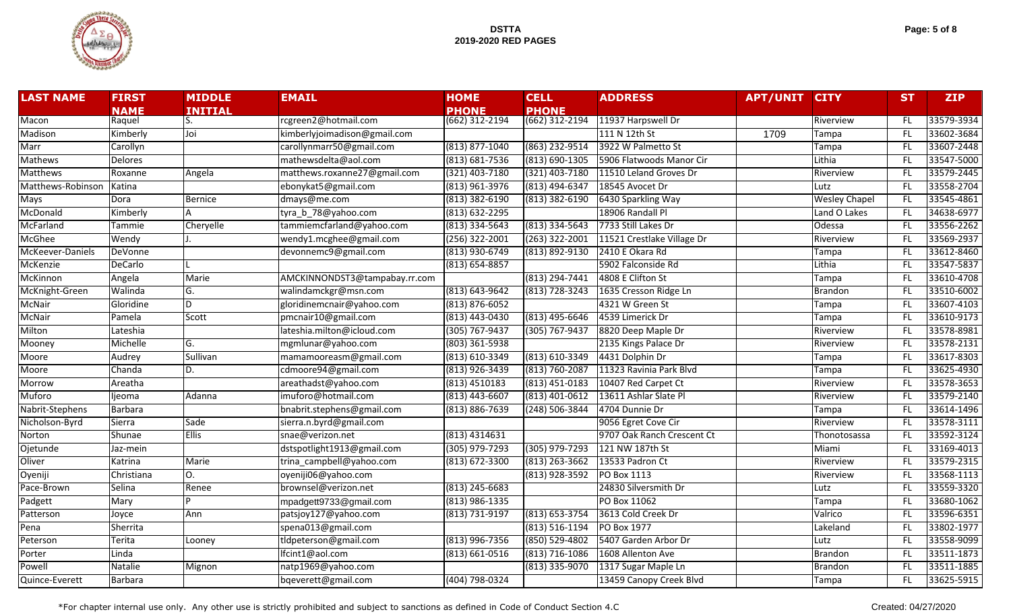

| Page: 5 of 8 |  |  |  |  |
|--------------|--|--|--|--|
|--------------|--|--|--|--|

| <b>LAST NAME</b>  | <b>FIRST</b>   | <b>MIDDLE</b>  | <b>EMAIL</b>                  | <b>HOME</b>        | <b>CELL</b>        | <b>ADDRESS</b>             | <b>APT/UNIT</b> | <b>CITY</b>          | <b>ST</b> | <b>ZIP</b> |
|-------------------|----------------|----------------|-------------------------------|--------------------|--------------------|----------------------------|-----------------|----------------------|-----------|------------|
|                   | <b>NAME</b>    | <b>INITIAL</b> |                               | <b>PHONE</b>       | <b>PHONE</b>       |                            |                 |                      |           |            |
| Macon             | Raquel         |                | rcgreen2@hotmail.com          | $(662)$ 312-2194   | (662) 312-2194     | 11937 Harpswell Dr         |                 | Riverview            | -FL       | 33579-3934 |
| Madison           | Kimberly       | Joi            | kimberlyjoimadison@gmail.com  |                    |                    | 111 N 12th St              | 1709            | Tampa                | FL.       | 33602-3684 |
| Marr              | Carollyn       |                | carollynmarr50@gmail.com      | $(813)$ 877-1040   | (863) 232-9514     | 3922 W Palmetto St         |                 | Tampa                | FL.       | 33607-2448 |
| Mathews           | Delores        |                | mathewsdelta@aol.com          | $(813) 681 - 7536$ | (813) 690-1305     | 5906 Flatwoods Manor Cir   |                 | Lithia               | FL.       | 33547-5000 |
| <b>Matthews</b>   | Roxanne        | Angela         | matthews.roxanne27@gmail.com  | $(321)$ 403-7180   | (321) 403-7180     | 11510 Leland Groves Dr     |                 | Riverview            | FL.       | 33579-2445 |
| Matthews-Robinson | Katina         |                | ebonykat5@gmail.com           | $(813)$ 961-3976   | (813) 494-6347     | 18545 Avocet Dr            |                 | Lutz                 | FL.       | 33558-2704 |
| Mays              | Dora           | <b>Bernice</b> | dmays@me.com                  | $(813)$ 382-6190   | $(813)$ 382-6190   | 6430 Sparkling Way         |                 | <b>Wesley Chapel</b> | FL.       | 33545-4861 |
| McDonald          | Kimberly       |                | tyra_b_78@yahoo.com           | (813) 632-2295     |                    | 18906 Randall Pl           |                 | Land O Lakes         | FL.       | 34638-6977 |
| McFarland         | Tammie         | Cheryelle      | tammiemcfarland@yahoo.com     | $(813)$ 334-5643   | $(813)$ 334-5643   | 7733 Still Lakes Dr        |                 | Odessa               | FL.       | 33556-2262 |
| McGhee            | Wendy          |                | wendy1.mcghee@gmail.com       | $(256)$ 322-2001   | $(263)$ 322-2001   | 11521 Crestlake Village Dr |                 | Riverview            | FL.       | 33569-2937 |
| McKeever-Daniels  | <b>DeVonne</b> |                | devonnemc9@gmail.com          | (813) 930-6749     | (813) 892-9130     | 2410 E Okara Rd            |                 | Tampa                | FL.       | 33612-8460 |
| McKenzie          | <b>DeCarlo</b> |                |                               | $(813) 654 - 8857$ |                    | 5902 Falconside Rd         |                 | Lithia               | FL.       | 33547-5837 |
| McKinnon          | Angela         | Marie          | AMCKINNONDST3@tampabay.rr.com |                    | (813) 294-7441     | 4808 E Clifton St          |                 | Tampa                | FL.       | 33610-4708 |
| McKnight-Green    | Walinda        | G.             | walindamckgr@msn.com          | (813) 643-9642     | (813) 728-3243     | 1635 Cresson Ridge Ln      |                 | <b>Brandon</b>       | FL.       | 33510-6002 |
| <b>McNair</b>     | Gloridine      | D.             | gloridinemcnair@yahoo.com     | $(813) 876 - 6052$ |                    | 4321 W Green St            |                 | Tampa                | FL.       | 33607-4103 |
| McNair            | Pamela         | Scott          | pmcnair10@gmail.com           | $(813)$ 443-0430   | $(813)$ 495-6646   | 4539 Limerick Dr           |                 | Tampa                | FL.       | 33610-9173 |
| Milton            | Lateshia       |                | lateshia.milton@icloud.com    | (305) 767-9437     | (305) 767-9437     | 8820 Deep Maple Dr         |                 | Riverview            | FL.       | 33578-8981 |
| Mooney            | Michelle       | G.             | mgmlunar@yahoo.com            | (803) 361-5938     |                    | 2135 Kings Palace Dr       |                 | Riverview            | FL.       | 33578-2131 |
| Moore             | Audrey         | Sullivan       | mamamooreasm@gmail.com        | (813) 610-3349     | (813) 610-3349     | 4431 Dolphin Dr            |                 | Tampa                | FL.       | 33617-8303 |
| Moore             | Chanda         | D.             | cdmoore94@gmail.com           | (813) 926-3439     | (813) 760-2087     | 11323 Ravinia Park Blvd    |                 | Tampa                | FL.       | 33625-4930 |
| Morrow            | Areatha        |                | areathadst@yahoo.com          | (813) 4510183      | $(813) 451 - 0183$ | 10407 Red Carpet Ct        |                 | Riverview            | FL.       | 33578-3653 |
| Muforo            | ljeoma         | Adanna         | imuforo@hotmail.com           | $(813)$ 443-6607   | (813) 401-0612     | 13611 Ashlar Slate Pl      |                 | Riverview            | FL.       | 33579-2140 |
| Nabrit-Stephens   | <b>Barbara</b> |                | bnabrit.stephens@gmail.com    | (813) 886-7639     | (248) 506-3844     | 4704 Dunnie Dr             |                 | Tampa                | FL.       | 33614-1496 |
| Nicholson-Byrd    | Sierra         | Sade           | sierra.n.byrd@gmail.com       |                    |                    | 9056 Egret Cove Cir        |                 | Riverview            | FL.       | 33578-3111 |
| Norton            | Shunae         | <b>Ellis</b>   | snae@verizon.net              | (813) 4314631      |                    | 9707 Oak Ranch Crescent Ct |                 | Thonotosassa         | FL.       | 33592-3124 |
| Ojetunde          | Jaz-mein       |                | dstspotlight1913@gmail.com    | $(305)$ 979-7293   | $(305)$ 979-7293   | 121 NW 187th St            |                 | Miami                | FL.       | 33169-4013 |
| Oliver            | Katrina        | <b>Marie</b>   | trina campbell@yahoo.com      | $(813) 672 - 3300$ | $(813)$ 263-3662   | 13533 Padron Ct            |                 | Riverview            | FL.       | 33579-2315 |
| Oyeniji           | Christiana     | Ο.             | oyeniji06@yahoo.com           |                    | $(813)$ 928-3592   | <b>PO Box 1113</b>         |                 | Riverview            | FL.       | 33568-1113 |
| Pace-Brown        | Selina         | Renee          | brownsel@verizon.net          | $(813)$ 245-6683   |                    | 24830 Silversmith Dr       |                 | Lutz                 | FL.       | 33559-3320 |
| Padgett           | Mary           |                | mpadgett9733@gmail.com        | $(813)$ 986-1335   |                    | PO Box 11062               |                 | Tampa                | FL.       | 33680-1062 |
| Patterson         | Joyce          | Ann            | patsjoy127@yahoo.com          | $(813) 731 - 9197$ | $(813) 653 - 3754$ | 3613 Cold Creek Dr         |                 | Valrico              | FL.       | 33596-6351 |
| Pena              | Sherrita       |                | spena013@gmail.com            |                    | (813) 516-1194     | <b>PO Box 1977</b>         |                 | Lakeland             | FL.       | 33802-1977 |
| Peterson          | Terita         | Looney         | tldpeterson@gmail.com         | (813) 996-7356     | (850) 529-4802     | 5407 Garden Arbor Dr       |                 | Lutz                 | FL.       | 33558-9099 |
| Porter            | Linda          |                | lfcint1@aol.com               | $(813) 661 - 0516$ | (813) 716-1086     | 1608 Allenton Ave          |                 | <b>Brandon</b>       | FL.       | 33511-1873 |
| Powell            | Natalie        | Mignon         | natp1969@yahoo.com            |                    | (813) 335-9070     | 1317 Sugar Maple Ln        |                 | <b>Brandon</b>       | FL.       | 33511-1885 |
| Quince-Everett    | <b>Barbara</b> |                | bqeverett@gmail.com           | (404) 798-0324     |                    | 13459 Canopy Creek Blvd    |                 | Tampa                | FL.       | 33625-5915 |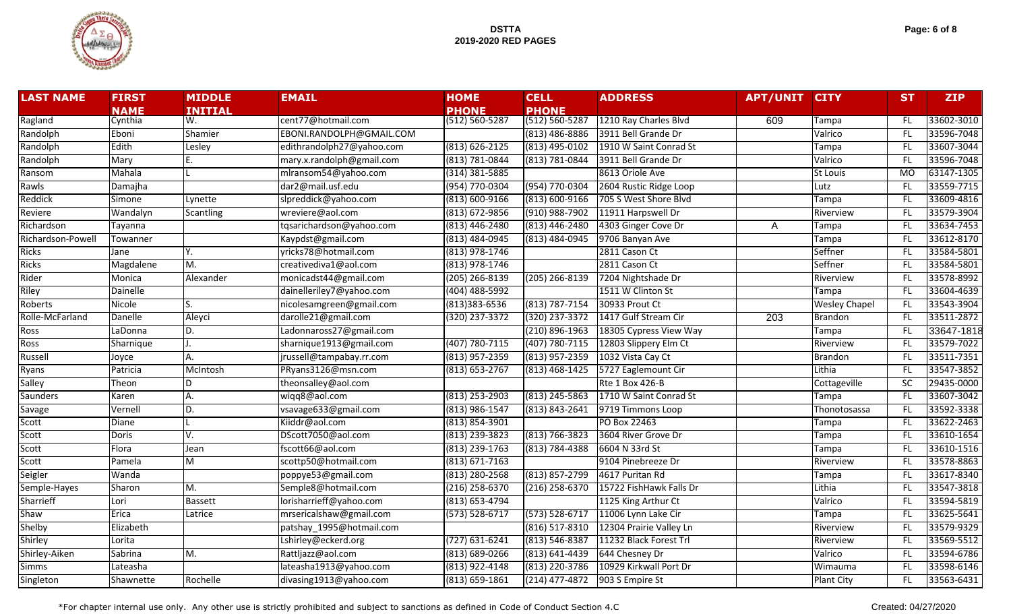

| Page: 6 of 8 |  |  |  |  |
|--------------|--|--|--|--|
|--------------|--|--|--|--|

| <b>LAST NAME</b>  | <b>FIRST</b> | <b>MIDDLE</b>  | <b>EMAIL</b>              | <b>HOME</b>        | <b>CELL</b>        | <b>ADDRESS</b>          | <b>APT/UNIT CITY</b> |                      | <b>ST</b> | <b>ZIP</b> |
|-------------------|--------------|----------------|---------------------------|--------------------|--------------------|-------------------------|----------------------|----------------------|-----------|------------|
|                   | <b>NAME</b>  | <b>INITIAL</b> |                           | <b>PHONE</b>       | <b>PHONE</b>       |                         |                      |                      |           |            |
| Ragland           | Cynthia      | W.             | cent77@hotmail.com        | $(512) 560 - 5287$ | $(512) 560 - 5287$ | 1210 Ray Charles Blvd   | 609                  | Tampa                | FL.       | 33602-3010 |
| Randolph          | Eboni        | Shamier        | EBONI.RANDOLPH@GMAIL.COM  |                    | $(813)$ 486-8886   | 3911 Bell Grande Dr     |                      | Valrico              | FL.       | 33596-7048 |
| Randolph          | Edith        | Lesley         | edithrandolph27@yahoo.com | $(813) 626 - 2125$ | (813) 495-0102     | 1910 W Saint Conrad St  |                      | Tampa                | FL.       | 33607-3044 |
| Randolph          | Mary         |                | mary.x.randolph@gmail.com | (813) 781-0844     | (813) 781-0844     | 3911 Bell Grande Dr     |                      | Valrico              | FL.       | 33596-7048 |
| Ransom            | Mahala       |                | mlransom54@yahoo.com      | $(314) 381 - 5885$ |                    | 8613 Oriole Ave         |                      | <b>St Louis</b>      | <b>MO</b> | 63147-1305 |
| Rawls             | Damajha      |                | dar2@mail.usf.edu         | (954) 770-0304     | (954) 770-0304     | 2604 Rustic Ridge Loop  |                      | Lutz                 | FL.       | 33559-7715 |
| Reddick           | Simone       | Lynette        | slpreddick@yahoo.com      | $(813) 600 - 9166$ | $(813) 600 - 9166$ | 705 S West Shore Blvd   |                      | Tampa                | FL.       | 33609-4816 |
| Reviere           | Wandalyn     | Scantling      | wreviere@aol.com          | (813) 672-9856     | $(910)$ 988-7902   | 11911 Harpswell Dr      |                      | Riverview            | FL.       | 33579-3904 |
| Richardson        | Tayanna      |                | tqsarichardson@yahoo.com  | (813) 446-2480     | $(813)$ 446-2480   | 4303 Ginger Cove Dr     | A                    | Tampa                | FL.       | 33634-7453 |
| Richardson-Powell | Towanner     |                | Kaypdst@gmail.com         | (813) 484-0945     | $(813) 484 - 0945$ | 9706 Banyan Ave         |                      | Tampa                | FL.       | 33612-8170 |
| <b>Ricks</b>      | Jane         | Υ.             | yricks78@hotmail.com      | (813) 978-1746     |                    | 2811 Cason Ct           |                      | Seffner              | FL.       | 33584-5801 |
| <b>Ricks</b>      | Magdalene    | M.             | creativediva1@aol.com     | (813) 978-1746     |                    | 2811 Cason Ct           |                      | Seffner              | <b>FL</b> | 33584-5801 |
| Rider             | Monica       | Alexander      | monicadst44@gmail.com     | $(205)$ 266-8139   | $(205)$ 266-8139   | 7204 Nightshade Dr      |                      | Riverview            | FL.       | 33578-8992 |
| Riley             | Dainelle     |                | dainelleriley7@yahoo.com  | (404) 488-5992     |                    | 1511 W Clinton St       |                      | Tampa                | FL.       | 33604-4639 |
| Roberts           | Nicole       |                | nicolesamgreen@gmail.com  | $(813)383 - 6536$  | (813) 787-7154     | 30933 Prout Ct          |                      | <b>Wesley Chapel</b> | FL        | 33543-3904 |
| Rolle-McFarland   | Danelle      | Aleyci         | darolle21@gmail.com       | (320) 237-3372     | (320) 237-3372     | 1417 Gulf Stream Cir    | 203                  | <b>Brandon</b>       | FL        | 33511-2872 |
| Ross              | LaDonna      | D.             | Ladonnaross27@gmail.com   |                    | $(210) 896 - 1963$ | 18305 Cypress View Way  |                      | Tampa                | <b>FL</b> | 33647-1818 |
| Ross              | Sharnique    |                | sharnique1913@gmail.com   | $(407) 780 - 7115$ | $(407) 780 - 7115$ | 12803 Slippery Elm Ct   |                      | Riverview            | FL.       | 33579-7022 |
| Russell           | Joyce        | Α.             | jrussell@tampabay.rr.com  | $(813)$ 957-2359   | $(813)$ 957-2359   | 1032 Vista Cay Ct       |                      | <b>Brandon</b>       | FL.       | 33511-7351 |
| Ryans             | Patricia     | McIntosh       | PRyans3126@msn.com        | (813) 653-2767     | $(813)$ 468-1425   | 5727 Eaglemount Cir     |                      | Lithia               | FL.       | 33547-3852 |
| Salley            | Theon        | D              | theonsalley@aol.com       |                    |                    | <b>Rte 1 Box 426-B</b>  |                      | Cottageville         | <b>SC</b> | 29435-0000 |
| Saunders          | Karen        | Α.             | wiqq8@aol.com             | (813) 253-2903     | $(813)$ 245-5863   | 1710 W Saint Conrad St  |                      | Tampa                | FL.       | 33607-3042 |
| Savage            | Vernell      | D.             | vsavage633@gmail.com      | (813) 986-1547     | $(813) 843 - 2641$ | 9719 Timmons Loop       |                      | Thonotosassa         | FL.       | 33592-3338 |
| Scott             | <b>Diane</b> |                | Kiiddr@aol.com            | $(813) 854 - 3901$ |                    | PO Box 22463            |                      | Tampa                | FL.       | 33622-2463 |
| Scott             | Doris        | V.             | DScott7050@aol.com        | (813) 239-3823     | $(813) 766 - 3823$ | 3604 River Grove Dr     |                      | Tampa                | FL        | 33610-1654 |
| Scott             | Flora        | Jean           | fscott66@aol.com          | $(813)$ 239-1763   | $(813) 784 - 4388$ | 6604 N 33rd St          |                      | Tampa                | FL.       | 33610-1516 |
| Scott             | Pamela       | M              | scottp50@hotmail.com      | $(813) 671 - 7163$ |                    | 9104 Pinebreeze Dr      |                      | Riverview            | FL.       | 33578-8863 |
| Seigler           | Wanda        |                | poppye53@gmail.com        | $(813)$ 280-2568   | $(813) 857 - 2799$ | 4617 Puritan Rd         |                      | Tampa                | FL.       | 33617-8340 |
| Semple-Hayes      | Sharon       | M.             | Semple8@hotmail.com       | $(216)$ 258-6370   | $(216)$ 258-6370   | 15722 FishHawk Falls Dr |                      | Lithia               | FL.       | 33547-3818 |
| Sharrieff         | Lori         | <b>Bassett</b> | lorisharrieff@yahoo.com   | $(813) 653 - 4794$ |                    | 1125 King Arthur Ct     |                      | Valrico              | FL.       | 33594-5819 |
| Shaw              | Erica        | Latrice        | mrsericalshaw@gmail.com   | $(573) 528 - 6717$ | $(573) 528 - 6717$ | 11006 Lynn Lake Cir     |                      | Tampa                | FL.       | 33625-5641 |
| Shelby            | Elizabeth    |                | patshay 1995@hotmail.com  |                    | (816) 517-8310     | 12304 Prairie Valley Ln |                      | Riverview            | FL.       | 33579-9329 |
| Shirley           | Lorita       |                | Lshirley@eckerd.org       | $(727) 631 - 6241$ | $(813) 546 - 8387$ | 11232 Black Forest Trl  |                      | Riverview            | FL.       | 33569-5512 |
| Shirley-Aiken     | Sabrina      | M.             | Rattljazz@aol.com         | (813) 689-0266     | $(813) 641 - 4439$ | 644 Chesney Dr          |                      | Valrico              | FL.       | 33594-6786 |
| <b>Simms</b>      | Lateasha     |                | lateasha1913@yahoo.com    | (813) 922-4148     | (813) 220-3786     | 10929 Kirkwall Port Dr  |                      | Wimauma              | FL.       | 33598-6146 |
| Singleton         | Shawnette    | Rochelle       | divasing1913@yahoo.com    | $(813) 659 - 1861$ | (214) 477-4872     | 903 S Empire St         |                      | <b>Plant City</b>    | FL.       | 33563-6431 |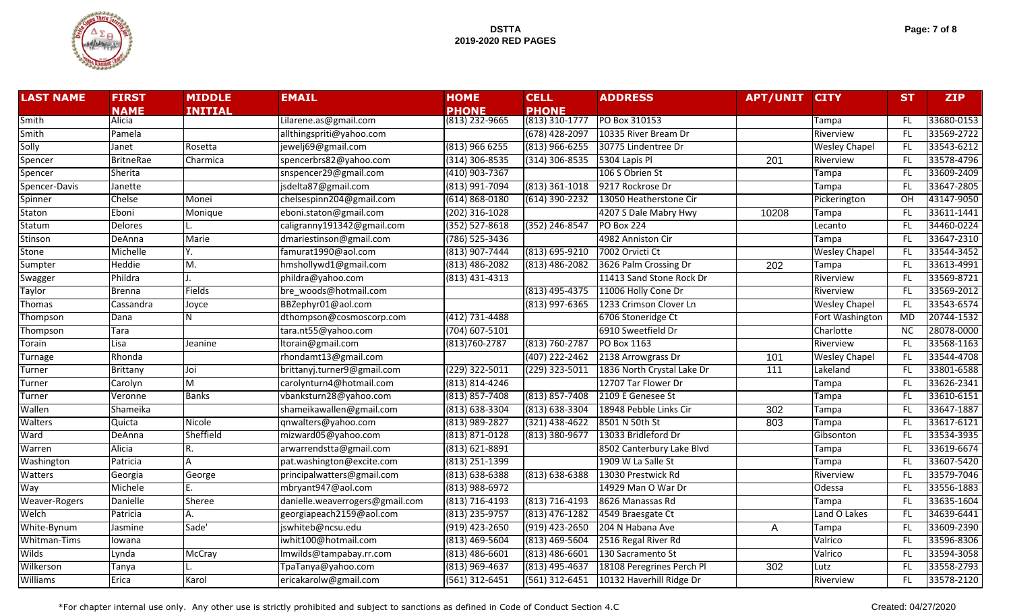

| Page: 7 of 8 |  |  |  |  |
|--------------|--|--|--|--|
|--------------|--|--|--|--|

| <b>LAST NAME</b>     | <b>FIRST</b>     | <b>MIDDLE</b>           | <b>EMAIL</b>                    | <b>HOME</b>                | <b>CELL</b>        | <b>ADDRESS</b>             | <b>APT/UNIT</b>  | <b>CITY</b>          | <b>ST</b>       | <b>ZIP</b> |
|----------------------|------------------|-------------------------|---------------------------------|----------------------------|--------------------|----------------------------|------------------|----------------------|-----------------|------------|
|                      | <b>NAME</b>      | <b>INITIAL</b>          |                                 | <b>PHONE</b>               | <b>PHONE</b>       |                            |                  |                      |                 |            |
| Smith                | Alicia           |                         | Lilarene.as@gmail.com           | $(813)\overline{232-9665}$ | (813) 310-1777     | PO Box 310153              |                  | Tampa                | FL              | 33680-0153 |
| Smith                | Pamela           |                         | allthingspriti@yahoo.com        |                            | (678) 428-2097     | 10335 River Bream Dr       |                  | Riverview            | FL.             | 33569-2722 |
| Solly                | Janet            | Rosetta                 | jewelj69@gmail.com              | $(813)$ 966 6255           | $(813)$ 966-6255   | 30775 Lindentree Dr        |                  | <b>Wesley Chapel</b> | FL.             | 33543-6212 |
| Spencer              | <b>BritneRae</b> | Charmica                | spencerbrs82@yahoo.com          | $(314)$ 306-8535           | $(314)$ 306-8535   | 5304 Lapis Pl              | $\overline{201}$ | Riverview            | FL.             | 33578-4796 |
| Spencer              | Sherita          |                         | snspencer29@gmail.com           | $(410)$ 903-7367           |                    | 106 S Obrien St            |                  | Tampa                | FL.             | 33609-2409 |
| Spencer-Davis        | Janette          |                         | jsdelta87@gmail.com             | (813) 991-7094             | $(813)$ 361-1018   | 9217 Rockrose Dr           |                  | Tampa                | FL.             | 33647-2805 |
| Spinner              | Chelse           | Monei                   | chelsespinn204@gmail.com        | $(614) 868 - 0180$         | (614) 390-2232     | 13050 Heatherstone Cir     |                  | Pickerington         | OH              | 43147-9050 |
| Staton               | Eboni            | Monique                 | eboni.staton@gmail.com          | $(202)$ 316-1028           |                    | 4207 S Dale Mabry Hwy      | 10208            | Tampa                | FL.             | 33611-1441 |
| Statum               | <b>Delores</b>   |                         | caligranny191342@gmail.com      | $(352) 527 - 8618$         | (352) 246-8547     | <b>PO Box 224</b>          |                  | Lecanto              | FL.             | 34460-0224 |
| Stinson              | DeAnna           | <b>Marie</b>            | dmariestinson@gmail.com         | (786) 525-3436             |                    | 4982 Anniston Cir          |                  | Tampa                | <b>FL</b>       | 33647-2310 |
| Stone                | Michelle         | Υ.                      | famurat1990@aol.com             | (813) 907-7444             | $(813) 695 - 9210$ | 7002 Orvicti Ct            |                  | <b>Wesley Chapel</b> | FL.             | 33544-3452 |
| Sumpter              | Heddie           | M.                      | hmshollywd1@gmail.com           | $(813)$ 486-2082           | $(813)$ 486-2082   | 3626 Palm Crossing Dr      | 202              | Tampa                | FL.             | 33613-4991 |
| Swagger              | Phildra          |                         | phildra@yahoo.com               | $(813)$ 431-4313           |                    | 11413 Sand Stone Rock Dr   |                  | Riverview            | FL.             | 33569-8721 |
| <b>Taylor</b>        | <b>Brenna</b>    | Fields                  | bre woods@hotmail.com           |                            | (813) 495-4375     | 11006 Holly Cone Dr        |                  | Riverview            | FL.             | 33569-2012 |
| Thomas               | Cassandra        | Joyce                   | BBZephyr01@aol.com              |                            | (813) 997-6365     | 1233 Crimson Clover Ln     |                  | <b>Wesley Chapel</b> | FL              | 33543-6574 |
| Thompson             | Dana             | N                       | dthompson@cosmoscorp.com        | (412) 731-4488             |                    | 6706 Stoneridge Ct         |                  | Fort Washington      | <b>MD</b>       | 20744-1532 |
| Thompson             | Tara             |                         | tara.nt55@yahoo.com             | $(704)$ 607-5101           |                    | 6910 Sweetfield Dr         |                  | Charlotte            | $\overline{NC}$ | 28078-0000 |
| Torain               | Lisa             | Jeanine                 | Itorain@gmail.com               | $(813)760 - 2787$          | $(813) 760 - 2787$ | PO Box 1163                |                  | Riverview            | FL.             | 33568-1163 |
| Turnage              | Rhonda           |                         | rhondamt13@gmail.com            |                            | (407) 222-2462     | 2138 Arrowgrass Dr         | 101              | <b>Wesley Chapel</b> | FL.             | 33544-4708 |
| Turner               | Brittany         | Joi                     | brittanyj.turner9@gmail.com     | $(229)$ 322-5011           | $(229)$ 323-5011   | 1836 North Crystal Lake Dr | 111              | Lakeland             | FL.             | 33801-6588 |
| Turner               | Carolyn          | $\overline{\mathsf{M}}$ | carolynturn4@hotmail.com        | $(813) 814 - 4246$         |                    | 12707 Tar Flower Dr        |                  | Tampa                | FL.             | 33626-2341 |
| Turner               | Veronne          | <b>Banks</b>            | vbanksturn28@yahoo.com          | $(813) 857 - 7408$         | $(813) 857 - 7408$ | 2109 E Genesee St          |                  | Tampa                | FL.             | 33610-6151 |
| Wallen               | Shameika         |                         | shameikawallen@gmail.com        | $(813) 638 - 3304$         | $(813) 638 - 3304$ | 18948 Pebble Links Cir     | 302              | Tampa                | FL              | 33647-1887 |
| Walters              | Quicta           | Nicole                  | qnwalters@yahoo.com             | (813) 989-2827             | $(321)$ 438-4622   | 8501 N 50th St             | 803              | Tampa                | FL              | 33617-6121 |
| Ward                 | DeAnna           | Sheffield               | mizward05@yahoo.com             | (813) 871-0128             | (813) 380-9677     | 13033 Bridleford Dr        |                  | Gibsonton            | FL              | 33534-3935 |
| Warren               | Alicia           | R.                      | arwarrendstta@gmail.com         | $(813) 621 - 8891$         |                    | 8502 Canterbury Lake Blvd  |                  | Tampa                | <b>FL</b>       | 33619-6674 |
| Washington           | Patricia         | A                       | pat.washington@excite.com       | (813) 251-1399             |                    | 1909 W La Salle St         |                  | Tampa                | FL.             | 33607-5420 |
| Watters              | Georgia          | George                  | principalwatters@gmail.com      | (813) 638-6388             | $(813) 638 - 6388$ | 13030 Prestwick Rd         |                  | Riverview            | FL              | 33579-7046 |
| Way                  | Michele          |                         | mbryant947@aol.com              | $(813)$ 988-6972           |                    | 14929 Man O War Dr         |                  | Odessa               | FL.             | 33556-1883 |
| <b>Weaver-Rogers</b> | Danielle         | Sheree                  | danielle.weaverrogers@gmail.com | (813) 716-4193             | (813) 716-4193     | 8626 Manassas Rd           |                  | Tampa                | FL.             | 33635-1604 |
| Welch                | Patricia         | А.                      | georgiapeach2159@aol.com        | $(813)$ 235-9757           | $(813)$ 476-1282   | 4549 Braesgate Ct          |                  | Land O Lakes         | FL.             | 34639-6441 |
| White-Bynum          | Jasmine          | Sade'                   | jswhiteb@ncsu.edu               | (919) 423-2650             | (919) 423-2650     | 204 N Habana Ave           | A                | Tampa                | FL.             | 33609-2390 |
| Whitman-Tims         | lowana           |                         | iwhit100@hotmail.com            | (813) 469-5604             | (813) 469-5604     | 2516 Regal River Rd        |                  | Valrico              | FL.             | 33596-8306 |
| Wilds                | Lynda            | McCray                  | Imwilds@tampabay.rr.com         | $(813) 486 - 6601$         | $(813)$ 486-6601   | 130 Sacramento St          |                  | Valrico              | <b>FL</b>       | 33594-3058 |
| Wilkerson            | Tanya            |                         | TpaTanya@yahoo.com              | (813) 969-4637             | (813) 495-4637     | 18108 Peregrines Perch Pl  | 302              | Lutz                 | <b>FL</b>       | 33558-2793 |
| Williams             | Erica            | Karol                   | ericakarolw@gmail.com           | (561) 312-6451             | $(561)$ 312-6451   | 10132 Haverhill Ridge Dr   |                  | Riverview            | FL              | 33578-2120 |